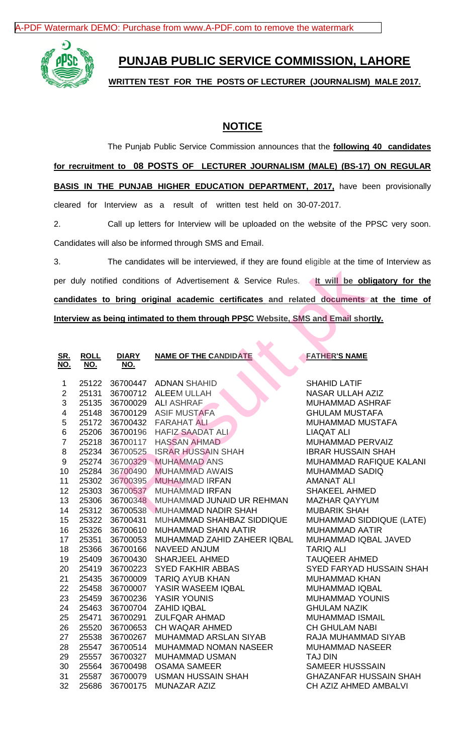[A-PDF Watermark DEMO: Purchase from www.A-PDF.com to remove the watermark](http://www.a-pdf.com/?wm-demo)



## **PUNJAB PUBLIC SERVICE COMMISSION, LAHORE**

**WRITTEN TEST FOR THE POSTS OF LECTURER (JOURNALISM) MALE 2017.**

## **NOTICE**

The Punjab Public Service Commission announces that the **following 40 candidates for recruitment to 08 POSTS OF LECTURER JOURNALISM (MALE) (BS-17) ON REGULAR BASIS IN THE PUNJAB HIGHER EDUCATION DEPARTMENT, 2017, have been provisionally** cleared for Interview as a result of written test held on 30-07-2017.

2. Call up letters for Interview will be uploaded on the website of the PPSC very soon. Candidates will also be informed through SMS and Email.

3. The candidates will be interviewed, if they are found eligible at the time of Interview as per duly notified conditions of Advertisement & Service Rules. **It will be obligatory for the candidates to bring original academic certificates and related documents at the time of Interview as being intimated to them through PPSC Website, SMS and Email shortly.**

| 3.<br>The candidates will be interviewed, if they are found eligible at the time of Interview as |             |              |                                                                                              |                                 |  |  |  |  |
|--------------------------------------------------------------------------------------------------|-------------|--------------|----------------------------------------------------------------------------------------------|---------------------------------|--|--|--|--|
|                                                                                                  |             |              | per duly notified conditions of Advertisement & Service Rules. At will be obligatory for the |                                 |  |  |  |  |
|                                                                                                  |             |              |                                                                                              |                                 |  |  |  |  |
| candidates to bring original academic certificates and related documents at the time o           |             |              |                                                                                              |                                 |  |  |  |  |
| Interview as being intimated to them through PPSC Website, SMS and Email shortly.                |             |              |                                                                                              |                                 |  |  |  |  |
|                                                                                                  |             |              |                                                                                              |                                 |  |  |  |  |
|                                                                                                  |             |              |                                                                                              |                                 |  |  |  |  |
| <u>SR.</u>                                                                                       | <b>ROLL</b> | <b>DIARY</b> | <b>NAME OF THE CANDIDATE</b>                                                                 | <b>FATHER'S NAME</b>            |  |  |  |  |
| <u>NO.</u>                                                                                       | <u>NO.</u>  | <u>NO.</u>   |                                                                                              |                                 |  |  |  |  |
|                                                                                                  |             |              |                                                                                              |                                 |  |  |  |  |
| 1                                                                                                | 25122       | 36700447     | <b>ADNAN SHAHID</b>                                                                          | <b>SHAHID LATIF</b>             |  |  |  |  |
| $\mathbf{2}$                                                                                     | 25131       | 36700712     | <b>ALEEM ULLAH</b>                                                                           | NASAR ULLAH AZIZ                |  |  |  |  |
| 3                                                                                                | 25135       |              | 36700029 ALI ASHRAF                                                                          | MUHAMMAD ASHRAF                 |  |  |  |  |
| $\overline{\mathbf{4}}$                                                                          | 25148       | 36700129     | <b>ASIF MUSTAFA</b>                                                                          | <b>GHULAM MUSTAFA</b>           |  |  |  |  |
| 5                                                                                                | 25172       | 36700432     | <b>FARAHAT ALI</b>                                                                           | MUHAMMAD MUSTAFA                |  |  |  |  |
| 6                                                                                                | 25206       | 36700196     | <b>HAFIZ SAADAT ALI</b>                                                                      | <b>LIAQAT ALI</b>               |  |  |  |  |
| $\overline{7}$                                                                                   | 25218       | 36700117     | <b>HASSAN AHMAD</b>                                                                          | MUHAMMAD PERVAIZ                |  |  |  |  |
| 8                                                                                                | 25234       | 36700525     | <b>ISRAR HUSSAIN SHAH</b>                                                                    | <b>IBRAR HUSSAIN SHAH</b>       |  |  |  |  |
| 9                                                                                                | 25274       | 36700329     | <b>MUHAMMAD ANS</b>                                                                          | <b>MUHAMMAD RAFIQUE KALANI</b>  |  |  |  |  |
| 10                                                                                               | 25284       | 36700490     | <b>MUHAMMAD AWAIS</b>                                                                        | <b>MUHAMMAD SADIQ</b>           |  |  |  |  |
| 11                                                                                               | 25302       | 36700395     | <b>MUHAMMAD IRFAN</b>                                                                        | <b>AMANAT ALI</b>               |  |  |  |  |
| 12                                                                                               | 25303       | 36700537     | <b>MUHAMMAD IRFAN</b>                                                                        | <b>SHAKEEL AHMED</b>            |  |  |  |  |
| 13                                                                                               | 25306       | 36700348     | MUHAMMAD JUNAID UR REHMAN                                                                    | <b>MAZHAR QAYYUM</b>            |  |  |  |  |
| 14                                                                                               | 25312       | 36700538     | <b>MUHAMMAD NADIR SHAH</b>                                                                   | <b>MUBARIK SHAH</b>             |  |  |  |  |
| 15                                                                                               | 25322       | 36700431     | MUHAMMAD SHAHBAZ SIDDIQUE                                                                    | MUHAMMAD SIDDIQUE (LATE)        |  |  |  |  |
| 16                                                                                               | 25326       | 36700610     | MUHAMMAD SHAN AATIR                                                                          | <b>MUHAMMAD AATIR</b>           |  |  |  |  |
| 17                                                                                               | 25351       | 36700053     | MUHAMMAD ZAHID ZAHEER IQBAL                                                                  | MUHAMMAD IQBAL JAVED            |  |  |  |  |
| 18                                                                                               | 25366       | 36700166     | NAVEED ANJUM                                                                                 | <b>TARIQ ALI</b>                |  |  |  |  |
| 19                                                                                               | 25409       | 36700430     | <b>SHARJEEL AHMED</b>                                                                        | <b>TAUQEER AHMED</b>            |  |  |  |  |
| 20                                                                                               | 25419       | 36700223     | <b>SYED FAKHIR ABBAS</b>                                                                     | <b>SYED FARYAD HUSSAIN SHAH</b> |  |  |  |  |
| 21                                                                                               | 25435       | 36700009     | <b>TARIQ AYUB KHAN</b>                                                                       | <b>MUHAMMAD KHAN</b>            |  |  |  |  |
| 22                                                                                               | 25458       | 36700007     | YASIR WASEEM IQBAL                                                                           | <b>MUHAMMAD IQBAL</b>           |  |  |  |  |
| 23                                                                                               | 25459       | 36700236     | YASIR YOUNIS                                                                                 | <b>MUHAMMAD YOUNIS</b>          |  |  |  |  |
| 24                                                                                               | 25463       | 36700704     | <b>ZAHID IQBAL</b>                                                                           | <b>GHULAM NAZIK</b>             |  |  |  |  |
| 25                                                                                               | 25471       | 36700291     | <b>ZULFQAR AHMAD</b>                                                                         | <b>MUHAMMAD ISMAIL</b>          |  |  |  |  |
| 26                                                                                               | 25520       | 36700653     | CH WAQAR AHMED<br><b>CH GHULAM NABI</b>                                                      |                                 |  |  |  |  |
| 27                                                                                               | 25538       | 36700267     | MUHAMMAD ARSLAN SIYAB                                                                        | RAJA MUHAMMAD SIYAB             |  |  |  |  |
| 28                                                                                               | 25547       | 36700514     | <b>MUHAMMAD NOMAN NASEER</b>                                                                 | <b>MUHAMMAD NASEER</b>          |  |  |  |  |
| 29                                                                                               | 25557       | 36700327     | <b>MUHAMMAD USMAN</b>                                                                        | TAJ DIN                         |  |  |  |  |
| 30                                                                                               | 25564       | 36700498     | <b>OSAMA SAMEER</b>                                                                          | SAMEER HUSSSAIN                 |  |  |  |  |
| 31                                                                                               | 25587       | 36700079     | <b>USMAN HUSSAIN SHAH</b>                                                                    | <b>GHAZANFAR HUSSAIN SHAH</b>   |  |  |  |  |
| 32                                                                                               | 25686       | 36700175     | MUNAZAR AZIZ                                                                                 | CH AZIZ AHMED AMBALVI           |  |  |  |  |
|                                                                                                  |             |              |                                                                                              |                                 |  |  |  |  |